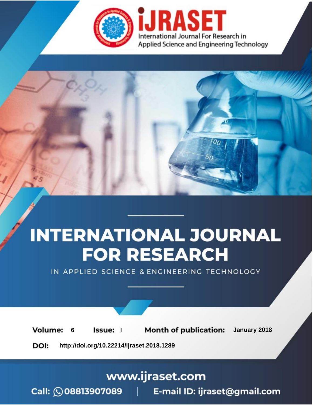

# **INTERNATIONAL JOURNAL FOR RESEARCH**

IN APPLIED SCIENCE & ENGINEERING TECHNOLOGY

**6 Issue: I Month of publication:** January 2018 **Volume:** 

**http://doi.org/10.22214/ijraset.2018.1289**DOI:

### www.ijraset.com

Call: 008813907089 | E-mail ID: ijraset@gmail.com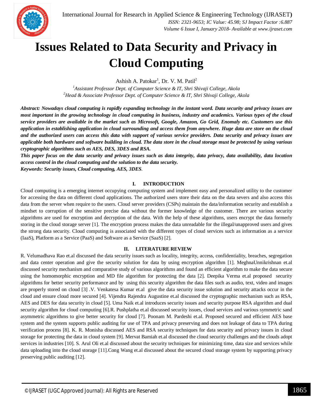

### **Issues Related to Data Security and Privacy in Cloud Computing**

Ashish A. Patokar<sup>1</sup>, Dr. V. M. Patil<sup>2</sup>

*<sup>1</sup>Assistant Professor Dept. of Computer Science & IT, Shri Shivaji College, Akola <sup>2</sup>Head & Associate Professor Dept. of Computer Science & IT, Shri Shivaji College, Akola*

*Abstract: Nowadays cloud computing is rapidly expanding technology in the instant word. Data security and privacy issues are most important in the growing technology in cloud computing in business, industry and academics. Various types of the cloud service providers are available in the market such as Microsoft, Google, Amazon, Go Grid, Enomaly etc. Customers use this application in establishing application in cloud surrounding and access them from anywhere. Huge data are store on the cloud and the authorized users can access this data with support of various service providers. Data security and privacy issues are applicable both hardware and software building in cloud. The data store in the cloud storage must be protected by using various cryptographic algorithms such as AES, DES, 3DES and RSA.*

*This paper focus on the data security and privacy issues such as data integrity, data privacy, data availability, data location access control in the cloud computing and the solution to the data security. Keywords: Security issues, Cloud computing, AES, 3DES.*

#### **I. INTRODUCTION**

Cloud computing is a emerging internet occupying computing system and implement easy and personalized utility to the customer for accessing the data on different cloud applications. The authorized users store their data on the data severs and also access this data from the server when require to the users. Cloud server providers (CSPs) maintain the data/information security and establish a mindset to corruption of the sensitive precise data without the former knowledge of the customer. There are various security algorithms are used for encryption and decryption of the data. With the help of these algorithms, users encrypt the data formerly storing in the cloud storage server [1]. The encryption process makes the data unreadable for the illegal/unapproved users and gives the strong data security. Cloud computing is associated with the different types of cloud services such as information as a service (IaaS), Platform as a Service (PaaS) and Software as a Service (SaaS) [2].

#### **II. LITERATURE REVIEW**

R. Velumadhava Rao et.al discussed the data security issues such as locality, integrity, access, confidentiality, breaches, segregation and data center operation and give the security solution for data by using encryption algorithm [1]. MeghnaUnnikrishnan et.al discussed security mechanism and comparative study of various algorithms and found an efficient algorithm to make the data secure using the homomorphic encryption and MD file algorithm for protecting the data [2]. Deepika Verma et.al proposed security algorithms for better security performance and by using this security algorithm the data files such as audio, text, video and images are properly stored on cloud [3] .V. Venkatesa Kumar et.al give the data security issue solution and security attacks occur in the cloud and ensure cloud more secured [4]. Vijendra Rajendra Augustine et.al discussed the cryptographic mechanism such as RSA, AES and DES for data security in cloud [5]. Uma Naik et.al introduces security issues and security purpose RSA algorithm and dual security algorithm for cloud computing [6].R. Pushplatha et.al discussed security issues, cloud services and various symmetric sand asymmetric algorithms to give better security for cloud [7]. Poonam M. Pardeshi et.al. Proposed secured and efficient AES base system and the system supports public auditing for use of TPA and privacy preserving and does not leakage of data to TPA during verification process [8]. K. R. Monisha discussed AES and RSA security techniques for data security and privacy issues in cloud storage for protecting the data in cloud system [9]. Mervat Bamiah et.al discussed the cloud security challenges and the clouds adopt services in industries [10]. S. Arul Oli et.al discussed about the security techniques for minimizing time, data size and services while data uploading into the cloud storage [11].Cong Wang et.al discussed about the secured cloud storage system by supporting privacy preserving public auditing [12].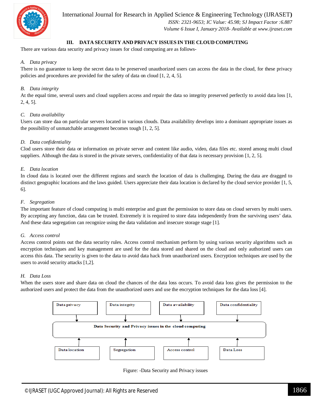

International Journal for Research in Applied Science & Engineering Technology (IJRASET**)**

 *ISSN: 2321-9653; IC Value: 45.98; SJ Impact Factor :6.887 Volume 6 Issue I, January 2018- Available at www.ijraset.com*

#### **III. DATA SECURITY AND PRIVACY ISSUES IN THE CLOUD COMPUTING**

There are various data security and privacy issues for cloud computing are as follows-

#### *A. Data privacy*

There is no guarantee to keep the secret data to be preserved unauthorized users can access the data in the cloud, for these privacy policies and procedures are provided for the safety of data on cloud [1, 2, 4, 5].

#### *B. Data integrity*

At the equal time, several users and cloud suppliers access and repair the data so integrity preserved perfectly to avoid data loss [1, 2, 4, 5].

#### *C. Data availability*

Users can store daa on particular servers located in various clouds. Data availability develops into a dominant appropriate issues as the possibility of unmatchable arrangement becomes tough [1, 2, 5].

#### *D. Data confidentiality*

Clod users store their data or information on private server and content like audio, video, data files etc. stored among multi cloud suppliers. Although the data is stored in the private servers, confidentiality of that data is necessary provision [1, 2, 5].

#### *E. Data location*

In cloud data is located over the different regions and search the location of data is challenging. During the data are dragged to distinct geographic locations and the laws guided. Users appreciate their data location is declared by the cloud service provider [1, 5, 6].

#### *F. Segregation*

The important feature of cloud computing is multi enterprise and grant the permission to store data on cloud servers by multi users. By accepting any function, data can be trusted. Extremely it is required to store data independently from the surviving users' data. And these data segregation can recognize using the data validation and insecure storage stage [1].

#### *G. Access control*

Access control points out the data security rules. Access control mechanism perform by using various security algorithms such as encryption techniques and key management are used for the data stored and shared on the cloud and only authorized users can access this data. The security is given to the data to avoid data hack from unauthorized users. Encryption techniques are used by the users to avoid security attacks [1,2].

#### *H. Data Loss*

When the users store and share data on cloud the chances of the data loss occurs. To avoid data loss gives the permission to the authorized users and protect the data from the unauthorized users and use the encryption techniques for the data loss [4].



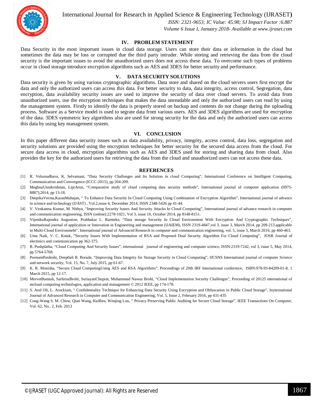

International Journal for Research in Applied Science & Engineering Technology (IJRASET**)**

 *ISSN: 2321-9653; IC Value: 45.98; SJ Impact Factor :6.887 Volume 6 Issue I, January 2018- Available at www.ijraset.com*

#### **IV. PROBLEM STATEMENT**

Data Security in the most important issues in cloud data storage. Users can store their data or information in the cloud but sometimes the data may be loss or corrupted due the third party intruder. While storing and retrieving the data from the cloud security is the important issues to avoid the unauthorized users does not access these data. To overcome such types of problems occur in cloud storage introduce encryption algorithms such as AES and 3DES for better security and performance.

#### **V. DATA SECURITY SOLUTIONS**

Data security is given by using various cryptographic algorithms. Data store and shared on the cloud servers users first encrypt the data and only the authorized users can access this data. For better security to data, data integrity, access control, Segregation, data encryption, data availability security issues are used to improve the security of data over cloud servers. To avoid data from unauthorized users, use the encryption techniques that makes the data unreadable and only the authorized users can read by using the management system. Firstly to identify the data is properly stored on backup and contents do not change during the uploading process. Software as a Service model is used to segrate data from various users. AES and 3DES algorithms are used for encryption of the data. 3DES symmetric key algorithms also are used for strong security for the data and only the authorized users can access this data by using key management system.

#### **VI. CONCLUSION**

In this paper different data security issues such as data availability, privacy, integrity, access control, data loss, segregation and security solutions are provided using the encryption techniques for better security for the secured data access from the cloud. For secure data access in cloud, encryption algorithms such as AES and 3DES used for storing and sharing data from cloud. Also provides the key for the authorized users for retrieving the data from the cloud and unauthorized users can not access these data.

#### **REFERENCES**

- [1] R. Velumadhava, K. Selvamani, "Data Security Challenges and Its Solution in cloud Computing", International Conference on Intelligent Computing, Communication and Convergence (ICCC-2015), pp 204-209.
- [2] MeghnaUnnikrishnan, LipiArun, "Comparative study of cloud computing data security methods", International journal of computer application (0975- 8887),2014, pp 13-18.
- [3] DeepikaVerma,KaranMahajan, " To Enhance Data Security In Cloud Computing Using Combination of Encryption Algorithm", International journal of advance in science and technology (IJAST) , Vol.2,issue 4, December 2014, ISSN 2348-5426 pp 41-44.
- [4] V. Venkatesa Kumar, M. Nithya, "Improving Security Issues And Security Attacks In Cloud Computing", International journal of advance research in computer and communication engineering, ISSN (online):2278-1021, Vol 3, issue 10, October 2014, pp 8148-8151.
- [5] VijendraRajendra Augustine, Prabhakar L. Ramteke, "Data storage Security In Cloud Environment With Encryption And Cryptographic Techniques", International journal of application or Innovation in Engineering and management (IJAIEM), ISSN 2319-4847,vol 3, issue 3, March 2014, pp 209-213.applicable in Multi-Cloud Environmebt", International journal of Advanced Research in computer and communication engineering, vol. 5, issue 3, March 2016, pp 460-463.
- [6] Uma Naik, V. C. Kotak, "Security Issues With Implementation of RSA and Proposed Dual Security Algorithm For Cloud Computing", IOSR Journal of electinics and communication pp 362-375.
- [7] R. Pushplatha, "Cloud Computing And Security Issues", international journal of engineering and computer science, ISSN:2319-7242, vol 3, issue 5, May 2014, pp 5764-5768.
- [8] PoonamPardeshi, Deep0ali R. Borade, "Improving Data Integrity for Storage Security in Cloud Computing", IJCSNS International journal of computer Science and network security, Vol. 15, No. 7, July 2015, pp 61-67.
- [9] K. R. Monisha, "Secure Cloud ComputingUsing AES and RSA Algorithms", Proceedings of 20th IRF International conference, ISBN:978-93-84209-01-8, 1 March 2015, pp 12-17.
- [10] MervetBamiah, SarfarazBrohi, SuriayatiChuprat, Muhammad Nawaz Brohi, "Cloud Implementation Security Challenges", Proceeding of 20125 international of mcloud computing technologies, application and management © 2012 IEEE, pp 174-178.
- [11] S. Arul Oli, L. Arockiam, "Confidentiality Technique for Enhancing Data Security Using Encryption and Obfuscation in Public Cloud Storage", Inyternational Journal of Advanced Research in Computer and Communication Engineering, Vol. 5, Issue 2, February 2016, pp 431-435
- [12] Cong-Wang S. M. Chow, Qian Wang, KuiRen, Wenjing Lou, " Privacy Preserving Public Auditing for Secure Cloud Storage", IEEE Transactions On Computer, Vol. 62, No.. 2, Feb. 2013